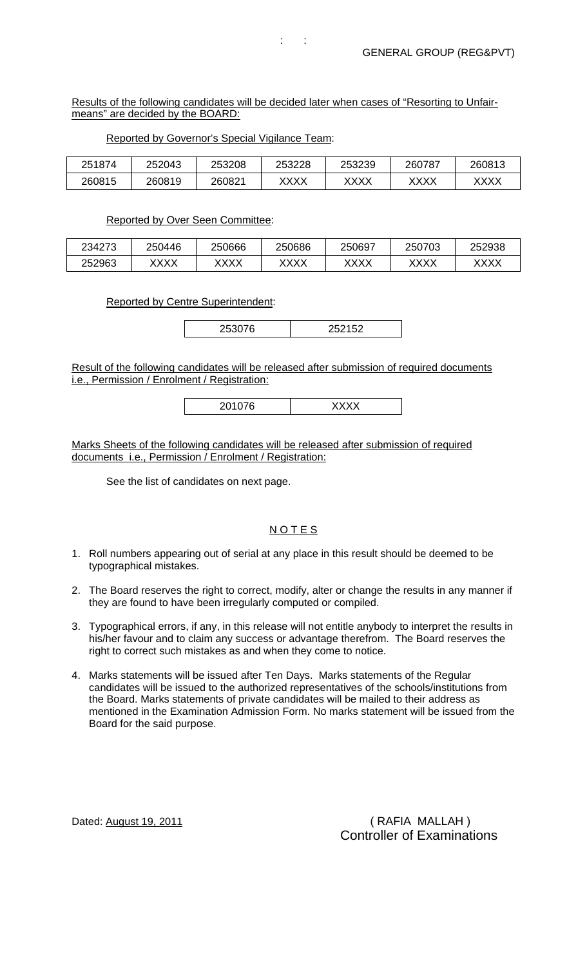## Results of the following candidates will be decided later when cases of "Resorting to Unfairmeans" are decided by the BOARD:

 $t \geq 1$ 

| 251874 | 252043 | 253208 | 253228 | 253239 | 260787              | 260813 |
|--------|--------|--------|--------|--------|---------------------|--------|
| 260815 | 260819 | 260821 | XXXX   | XXXX   | vvvv<br><b>YVVV</b> | XXXX   |

## Reported by Governor's Special Vigilance Team:

## Reported by Over Seen Committee:

| 234273 | 250446              | 250666       | 250686 | 250697              | 250703       | 252938 |
|--------|---------------------|--------------|--------|---------------------|--------------|--------|
| 252963 | vvvv<br><b>∧∧∧∧</b> | vvvv<br>៶៱៱៱ | xxxx   | vvvv<br><b>^^^^</b> | vvvv<br>৲∧∧∧ | XXXX   |

Reported by Centre Superintendent:

253076 252152

Result of the following candidates will be released after submission of required documents i.e., Permission / Enrolment / Registration:

|--|

Marks Sheets of the following candidates will be released after submission of required documents i.e., Permission / Enrolment / Registration:

See the list of candidates on next page.

## **NOTES**

- 1. Roll numbers appearing out of serial at any place in this result should be deemed to be typographical mistakes.
- 2. The Board reserves the right to correct, modify, alter or change the results in any manner if they are found to have been irregularly computed or compiled.
- 3. Typographical errors, if any, in this release will not entitle anybody to interpret the results in his/her favour and to claim any success or advantage therefrom. The Board reserves the right to correct such mistakes as and when they come to notice.
- 4. Marks statements will be issued after Ten Days. Marks statements of the Regular candidates will be issued to the authorized representatives of the schools/institutions from the Board. Marks statements of private candidates will be mailed to their address as mentioned in the Examination Admission Form. No marks statement will be issued from the Board for the said purpose.

Dated: August 19, 2011 **(a)** The Control of Table (RAFIA MALLAH ) Controller of Examinations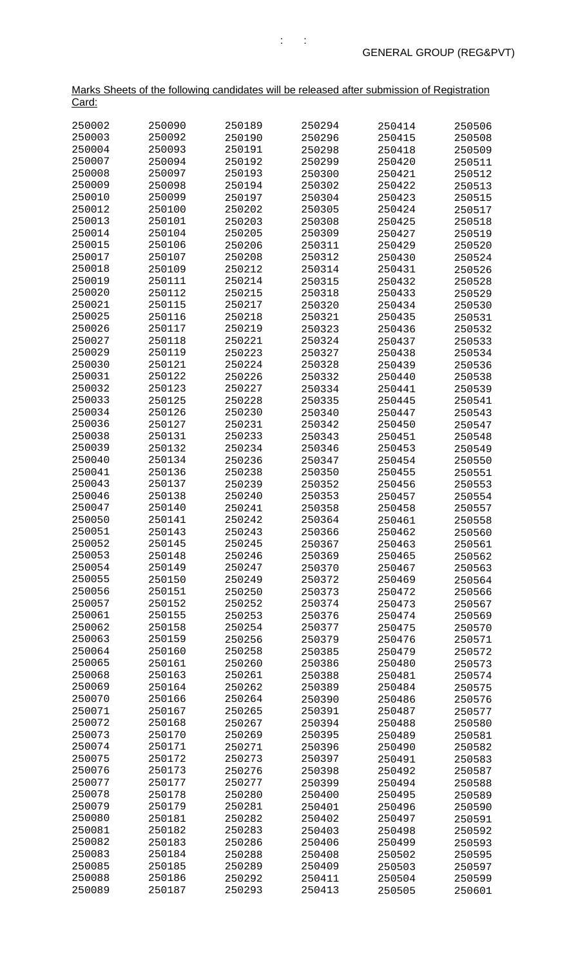| <u>Card:</u>     |                  |                  |                  |                  |                  |
|------------------|------------------|------------------|------------------|------------------|------------------|
| 250002           | 250090           | 250189           | 250294           | 250414           | 250506           |
| 250003           | 250092           | 250190           | 250296           | 250415           | 250508           |
| 250004           | 250093           | 250191           | 250298           | 250418           | 250509           |
| 250007           | 250094           | 250192           | 250299           | 250420           | 250511           |
| 250008           | 250097           | 250193           | 250300           | 250421           | 250512           |
| 250009           | 250098           | 250194           | 250302           | 250422           | 250513           |
| 250010           | 250099           | 250197           | 250304           | 250423           | 250515           |
| 250012           | 250100           | 250202           | 250305           | 250424           | 250517           |
| 250013           | 250101           | 250203           | 250308           | 250425           | 250518           |
| 250014           | 250104           | 250205           | 250309           | 250427           | 250519           |
| 250015           | 250106           | 250206           | 250311           | 250429           | 250520           |
| 250017           | 250107           | 250208           | 250312           | 250430           | 250524           |
| 250018           | 250109           | 250212           | 250314           | 250431           | 250526           |
| 250019           | 250111           | 250214           | 250315           | 250432           | 250528           |
| 250020           | 250112           | 250215           | 250318           | 250433           | 250529           |
| 250021           | 250115           | 250217           | 250320           | 250434           | 250530           |
| 250025           | 250116           | 250218           | 250321           | 250435           | 250531           |
| 250026           | 250117           | 250219           | 250323           | 250436           | 250532           |
| 250027           | 250118           | 250221           | 250324           | 250437           | 250533           |
| 250029           | 250119           | 250223           | 250327           | 250438           | 250534           |
| 250030           | 250121           | 250224           | 250328           | 250439           | 250536           |
| 250031           | 250122           | 250226           | 250332           | 250440           | 250538           |
| 250032           | 250123           | 250227           | 250334           | 250441           | 250539           |
| 250033<br>250034 | 250125<br>250126 | 250228           | 250335           | 250445           | 250541           |
| 250036           | 250127           | 250230<br>250231 | 250340<br>250342 | 250447<br>250450 | 250543           |
| 250038           | 250131           | 250233           | 250343           | 250451           | 250547<br>250548 |
| 250039           | 250132           | 250234           | 250346           | 250453           | 250549           |
| 250040           | 250134           | 250236           | 250347           | 250454           | 250550           |
| 250041           | 250136           | 250238           | 250350           | 250455           | 250551           |
| 250043           | 250137           | 250239           | 250352           | 250456           | 250553           |
| 250046           | 250138           | 250240           | 250353           | 250457           | 250554           |
| 250047           | 250140           | 250241           | 250358           | 250458           | 250557           |
| 250050           | 250141           | 250242           | 250364           | 250461           | 250558           |
| 250051           | 250143           | 250243           | 250366           | 250462           | 250560           |
| 250052           | 250145           | 250245           | 250367           | 250463           | 250561           |
| 250053           | 250148           | 250246           | 250369           | 250465           | 250562           |
| 250054           | 250149           | 250247           | 250370           | 250467           | 250563           |
| 250055           | 250150           | 250249           | 250372           | 250469           | 250564           |
| 250056           | 250151           | 250250           | 250373           | 250472           | 250566           |
| 250057           | 250152           | 250252           | 250374           | 250473           | 250567           |
| 250061           | 250155           | 250253           | 250376           | 250474           | 250569           |
| 250062           | 250158           | 250254           | 250377           | 250475           | 250570           |
| 250063           | 250159           | 250256           | 250379           | 250476           | 250571           |
| 250064           | 250160           | 250258           | 250385           | 250479           | 250572           |
| 250065           | 250161           | 250260           | 250386           | 250480           | 250573           |
| 250068           | 250163           | 250261           | 250388           | 250481           | 250574           |
| 250069<br>250070 | 250164           | 250262           | 250389           | 250484           | 250575           |
| 250071           | 250166<br>250167 | 250264<br>250265 | 250390           | 250486           | 250576           |
| 250072           | 250168           | 250267           | 250391<br>250394 | 250487<br>250488 | 250577<br>250580 |
| 250073           | 250170           | 250269           | 250395           | 250489           | 250581           |
| 250074           | 250171           | 250271           | 250396           | 250490           | 250582           |
| 250075           | 250172           | 250273           | 250397           | 250491           | 250583           |
| 250076           | 250173           | 250276           | 250398           | 250492           | 250587           |
| 250077           | 250177           | 250277           | 250399           | 250494           | 250588           |
| 250078           | 250178           | 250280           | 250400           | 250495           | 250589           |
| 250079           | 250179           | 250281           | 250401           | 250496           | 250590           |
| 250080           | 250181           | 250282           | 250402           | 250497           | 250591           |
| 250081           | 250182           | 250283           | 250403           | 250498           | 250592           |
| 250082           | 250183           | 250286           | 250406           | 250499           | 250593           |
| 250083           | 250184           | 250288           | 250408           | 250502           | 250595           |
| 250085           | 250185           | 250289           | 250409           | 250503           | 250597           |
| 250088           | 250186           | 250292           | 250411           | 250504           | 250599           |
| 250089           | 250187           | 250293           | 250413           | 250505           | 250601           |

Marks Sheets of the following candidates will be released after submission of Registration

 $\mathbf{r}$  :  $\mathbf{r}$  :  $\mathbf{r}$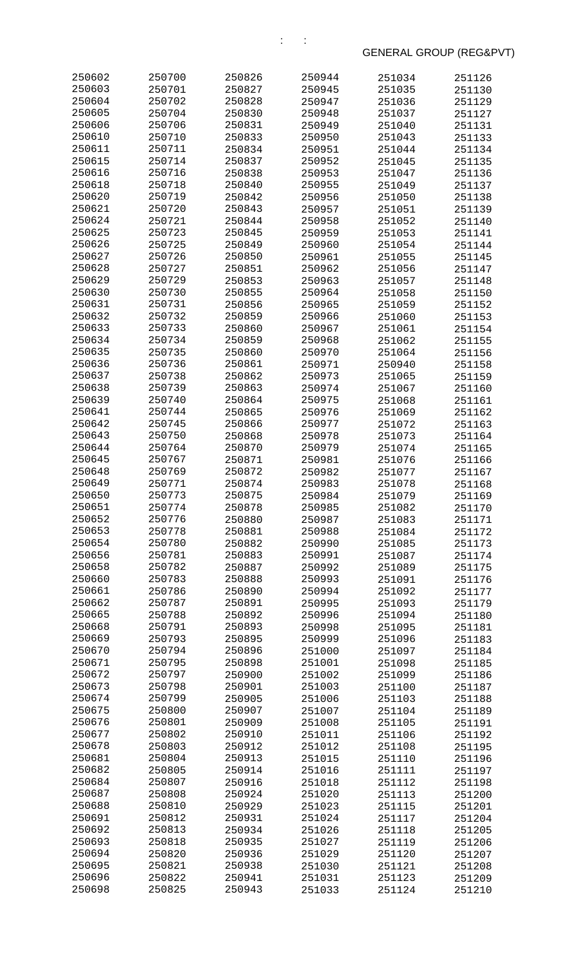| 250602           | 250700           | 250826           | 250944           | 251034           | 251126           |
|------------------|------------------|------------------|------------------|------------------|------------------|
| 250603           | 250701           | 250827           | 250945           | 251035           | 251130           |
| 250604           | 250702           | 250828           | 250947           | 251036           | 251129           |
| 250605           | 250704           | 250830           | 250948           | 251037           | 251127           |
| 250606           | 250706           | 250831           | 250949           | 251040           | 251131           |
| 250610           | 250710           | 250833           | 250950           | 251043           | 251133           |
| 250611           | 250711           | 250834           | 250951           | 251044           | 251134           |
| 250615           | 250714           | 250837           | 250952           | 251045           | 251135           |
| 250616           | 250716           | 250838           | 250953           | 251047           | 251136           |
| 250618           | 250718           | 250840           | 250955           | 251049           | 251137           |
| 250620           | 250719           | 250842           | 250956           | 251050           | 251138           |
| 250621           | 250720           | 250843           | 250957           | 251051           | 251139           |
| 250624<br>250625 | 250721<br>250723 | 250844<br>250845 | 250958           | 251052           | 251140           |
| 250626           | 250725           | 250849           | 250959<br>250960 | 251053           | 251141           |
| 250627           | 250726           | 250850           | 250961           | 251054<br>251055 | 251144<br>251145 |
| 250628           | 250727           | 250851           | 250962           | 251056           | 251147           |
| 250629           | 250729           | 250853           | 250963           | 251057           | 251148           |
| 250630           | 250730           | 250855           | 250964           | 251058           | 251150           |
| 250631           | 250731           | 250856           | 250965           | 251059           | 251152           |
| 250632           | 250732           | 250859           | 250966           | 251060           | 251153           |
| 250633           | 250733           | 250860           | 250967           | 251061           | 251154           |
| 250634           | 250734           | 250859           | 250968           | 251062           | 251155           |
| 250635           | 250735           | 250860           | 250970           | 251064           | 251156           |
| 250636           | 250736           | 250861           | 250971           | 250940           | 251158           |
| 250637           | 250738           | 250862           | 250973           | 251065           | 251159           |
| 250638           | 250739           | 250863           | 250974           | 251067           | 251160           |
| 250639           | 250740           | 250864           | 250975           | 251068           | 251161           |
| 250641           | 250744           | 250865           | 250976           | 251069           | 251162           |
| 250642           | 250745           | 250866           | 250977           | 251072           | 251163           |
| 250643           | 250750           | 250868           | 250978           | 251073           | 251164           |
| 250644           | 250764           | 250870           | 250979           | 251074           | 251165           |
| 250645           | 250767           | 250871           | 250981           | 251076           | 251166           |
| 250648           | 250769           | 250872           | 250982           | 251077           | 251167           |
| 250649           | 250771           | 250874           | 250983           | 251078           | 251168           |
| 250650           | 250773           | 250875           | 250984           | 251079           | 251169           |
| 250651           | 250774           | 250878           | 250985           | 251082           | 251170           |
| 250652<br>250653 | 250776           | 250880           | 250987           | 251083           | 251171           |
| 250654           | 250778<br>250780 | 250881<br>250882 | 250988<br>250990 | 251084<br>251085 | 251172<br>251173 |
| 250656           | 250781           | 250883           | 250991           | 251087           | 251174           |
| 250658           | 250782           | 250887           | 250992           | 251089           | 251175           |
| 250660           | 250783           | 250888           | 250993           | 251091           | 251176           |
| 250661           | 250786           | 250890           | 250994           | 251092           | 251177           |
| 250662           | 250787           | 250891           | 250995           | 251093           | 251179           |
| 250665           | 250788           | 250892           | 250996           | 251094           | 251180           |
| 250668           | 250791           | 250893           | 250998           | 251095           | 251181           |
| 250669           | 250793           | 250895           | 250999           | 251096           | 251183           |
| 250670           | 250794           | 250896           | 251000           | 251097           | 251184           |
| 250671           | 250795           | 250898           | 251001           | 251098           | 251185           |
| 250672           | 250797           | 250900           | 251002           | 251099           | 251186           |
| 250673           | 250798           | 250901           | 251003           | 251100           | 251187           |
| 250674           | 250799           | 250905           | 251006           | 251103           | 251188           |
| 250675           | 250800           | 250907           | 251007           | 251104           | 251189           |
| 250676           | 250801           | 250909           | 251008           | 251105           | 251191           |
| 250677           | 250802           | 250910           | 251011           | 251106           | 251192           |
| 250678           | 250803           | 250912           | 251012           | 251108           | 251195           |
| 250681           | 250804           | 250913           | 251015           | 251110           | 251196           |
| 250682           | 250805           | 250914           | 251016           | 251111           | 251197           |
| 250684           | 250807           | 250916           | 251018           | 251112           | 251198           |
| 250687<br>250688 | 250808           | 250924           | 251020           | 251113           | 251200           |
| 250691           | 250810<br>250812 | 250929<br>250931 | 251023<br>251024 | 251115           | 251201           |
| 250692           | 250813           | 250934           | 251026           | 251117<br>251118 | 251204<br>251205 |
| 250693           | 250818           | 250935           | 251027           | 251119           | 251206           |
| 250694           | 250820           | 250936           | 251029           | 251120           | 251207           |
| 250695           | 250821           | 250938           | 251030           | 251121           | 251208           |
| 250696           | 250822           | 250941           | 251031           | 251123           | 251209           |
| 250698           | 250825           | 250943           | 251033           | 251124           | 251210           |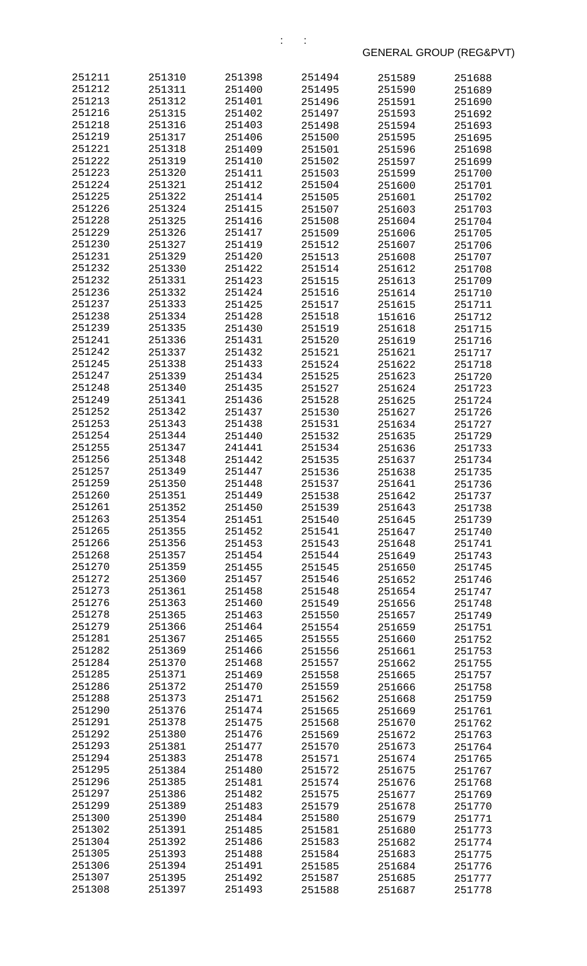| 251211           | 251310           | 251398           | 251494           | 251589           | 251688           |
|------------------|------------------|------------------|------------------|------------------|------------------|
| 251212           | 251311           | 251400           | 251495           | 251590           | 251689           |
| 251213           | 251312           | 251401           | 251496           | 251591           | 251690           |
| 251216           | 251315           | 251402           | 251497           | 251593           | 251692           |
| 251218           | 251316           | 251403           | 251498           | 251594           | 251693           |
| 251219           | 251317           | 251406           | 251500           | 251595           | 251695           |
| 251221           | 251318           | 251409           | 251501           | 251596           | 251698           |
| 251222           | 251319           | 251410           | 251502           | 251597           | 251699           |
| 251223           | 251320           | 251411           | 251503           | 251599           | 251700           |
| 251224           | 251321           | 251412           | 251504           | 251600           | 251701           |
| 251225           | 251322           | 251414           | 251505           | 251601           | 251702           |
| 251226           | 251324           | 251415           | 251507           | 251603           | 251703           |
| 251228           | 251325           | 251416           | 251508           | 251604           | 251704           |
| 251229           | 251326           | 251417           | 251509           | 251606           | 251705           |
| 251230<br>251231 | 251327<br>251329 | 251419           | 251512           | 251607           | 251706           |
| 251232           | 251330           | 251420<br>251422 | 251513<br>251514 | 251608<br>251612 | 251707<br>251708 |
| 251232           | 251331           | 251423           | 251515           | 251613           | 251709           |
| 251236           | 251332           | 251424           | 251516           | 251614           | 251710           |
| 251237           | 251333           | 251425           | 251517           | 251615           | 251711           |
| 251238           | 251334           | 251428           | 251518           | 151616           | 251712           |
| 251239           | 251335           | 251430           | 251519           | 251618           | 251715           |
| 251241           | 251336           | 251431           | 251520           | 251619           | 251716           |
| 251242           | 251337           | 251432           | 251521           | 251621           | 251717           |
| 251245           | 251338           | 251433           | 251524           | 251622           | 251718           |
| 251247           | 251339           | 251434           | 251525           | 251623           | 251720           |
| 251248           | 251340           | 251435           | 251527           | 251624           | 251723           |
| 251249           | 251341           | 251436           | 251528           | 251625           | 251724           |
| 251252           | 251342           | 251437           | 251530           | 251627           | 251726           |
| 251253           | 251343           | 251438           | 251531           | 251634           | 251727           |
| 251254           | 251344           | 251440           | 251532           | 251635           | 251729           |
| 251255           | 251347           | 241441           | 251534           | 251636           | 251733           |
| 251256           | 251348           | 251442           | 251535           | 251637           | 251734           |
| 251257           | 251349           | 251447           | 251536           | 251638           | 251735           |
| 251259           | 251350           | 251448           | 251537           | 251641           | 251736           |
| 251260           | 251351           | 251449           | 251538           | 251642           | 251737           |
| 251261<br>251263 | 251352           | 251450           | 251539           | 251643           | 251738           |
| 251265           | 251354<br>251355 | 251451<br>251452 | 251540<br>251541 | 251645<br>251647 | 251739           |
| 251266           | 251356           | 251453           | 251543           | 251648           | 251740<br>251741 |
| 251268           | 251357           | 251454           | 251544           | 251649           | 251743           |
| 251270           | 251359           | 251455           | 251545           | 251650           | 251745           |
| 251272           | 251360           | 251457           | 251546           | 251652           | 251746           |
| 251273           | 251361           | 251458           | 251548           | 251654           | 251747           |
| 251276           | 251363           | 251460           | 251549           | 251656           | 251748           |
| 251278           | 251365           | 251463           | 251550           | 251657           | 251749           |
| 251279           | 251366           | 251464           | 251554           | 251659           | 251751           |
| 251281           | 251367           | 251465           | 251555           | 251660           | 251752           |
| 251282           | 251369           | 251466           | 251556           | 251661           | 251753           |
| 251284           | 251370           | 251468           | 251557           | 251662           | 251755           |
| 251285           | 251371           | 251469           | 251558           | 251665           | 251757           |
| 251286           | 251372           | 251470           | 251559           | 251666           | 251758           |
| 251288           | 251373           | 251471           | 251562           | 251668           | 251759           |
| 251290           | 251376           | 251474           | 251565           | 251669           | 251761           |
| 251291           | 251378           | 251475           | 251568           | 251670           | 251762           |
| 251292           | 251380           | 251476           | 251569           | 251672           | 251763           |
| 251293<br>251294 | 251381           | 251477           | 251570           | 251673           | 251764           |
| 251295           | 251383<br>251384 | 251478<br>251480 | 251571<br>251572 | 251674           | 251765<br>251767 |
| 251296           | 251385           | 251481           | 251574           | 251675<br>251676 | 251768           |
| 251297           | 251386           | 251482           | 251575           | 251677           | 251769           |
| 251299           | 251389           | 251483           | 251579           | 251678           | 251770           |
| 251300           | 251390           | 251484           | 251580           | 251679           | 251771           |
| 251302           | 251391           | 251485           | 251581           | 251680           | 251773           |
| 251304           | 251392           | 251486           | 251583           | 251682           | 251774           |
| 251305           | 251393           | 251488           | 251584           | 251683           | 251775           |
| 251306           | 251394           | 251491           | 251585           | 251684           | 251776           |
| 251307           | 251395           | 251492           | 251587           | 251685           | 251777           |
| 251308           | 251397           | 251493           | 251588           | 251687           | 251778           |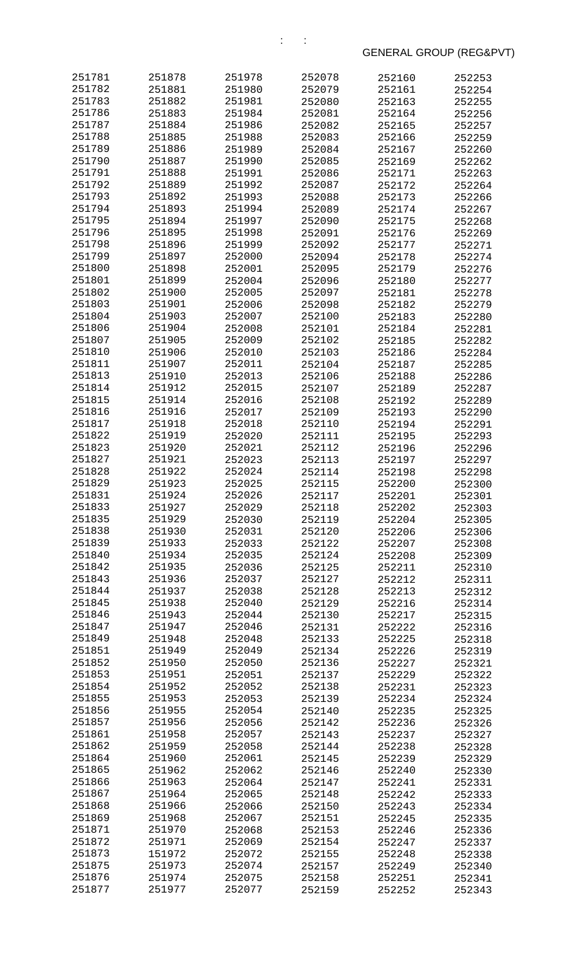| 251781           | 251878           | 251978           | 252078           | 252160           | 252253           |
|------------------|------------------|------------------|------------------|------------------|------------------|
| 251782           | 251881           | 251980           | 252079           | 252161           | 252254           |
| 251783           | 251882           | 251981           | 252080           | 252163           | 252255           |
| 251786           | 251883           | 251984           | 252081           | 252164           | 252256           |
| 251787           | 251884           | 251986           | 252082           | 252165           | 252257           |
| 251788           | 251885           | 251988           | 252083           | 252166           | 252259           |
| 251789           | 251886           | 251989           | 252084           | 252167           | 252260           |
| 251790           | 251887           | 251990           | 252085           | 252169           | 252262           |
| 251791           | 251888           | 251991           | 252086           | 252171           | 252263           |
| 251792           | 251889           | 251992           | 252087           | 252172           | 252264           |
| 251793           | 251892           | 251993           | 252088           | 252173           | 252266           |
| 251794           | 251893           | 251994           | 252089           | 252174           | 252267           |
| 251795           | 251894           | 251997           | 252090           | 252175           | 252268           |
| 251796           | 251895           | 251998           | 252091           | 252176           | 252269           |
| 251798           | 251896           | 251999           | 252092           | 252177           | 252271           |
| 251799           | 251897           | 252000           | 252094           | 252178           | 252274           |
| 251800           | 251898           | 252001           | 252095           | 252179           | 252276           |
| 251801           | 251899           | 252004           | 252096           | 252180           | 252277           |
| 251802           | 251900           | 252005           | 252097           | 252181           | 252278           |
| 251803           | 251901           | 252006           | 252098           | 252182           | 252279           |
| 251804           | 251903           | 252007           | 252100           | 252183           | 252280           |
| 251806           | 251904           | 252008           | 252101           | 252184           | 252281           |
| 251807           | 251905           | 252009           | 252102           | 252185           | 252282           |
| 251810           | 251906           | 252010           | 252103           | 252186           | 252284           |
| 251811           | 251907           | 252011           | 252104           | 252187           | 252285           |
| 251813           | 251910           | 252013           | 252106           | 252188           | 252286           |
| 251814           | 251912           | 252015           | 252107           | 252189           | 252287           |
| 251815           | 251914           | 252016           | 252108           | 252192           | 252289           |
| 251816           | 251916           | 252017           | 252109           | 252193           | 252290           |
| 251817           | 251918           | 252018           | 252110           | 252194           | 252291           |
| 251822           | 251919           | 252020           | 252111           | 252195           | 252293           |
| 251823           | 251920           | 252021           | 252112           | 252196           | 252296           |
| 251827           | 251921           | 252023           | 252113           | 252197           | 252297           |
| 251828           | 251922           | 252024           | 252114           | 252198           | 252298           |
| 251829           | 251923           | 252025           | 252115           | 252200           | 252300           |
| 251831           | 251924           | 252026           | 252117           | 252201           | 252301           |
| 251833           | 251927           | 252029           | 252118           | 252202           | 252303           |
| 251835           | 251929           | 252030           | 252119           | 252204           | 252305           |
| 251838           | 251930           | 252031           | 252120           | 252206           | 252306           |
| 251839           | 251933           | 252033           | 252122           | 252207           | 252308           |
| 251840           | 251934           | 252035           | 252124           | 252208           | 252309           |
| 251842           | 251935           | 252036           | 252125           | 252211           | 252310           |
| 251843           | 251936           | 252037           | 252127           | 252212           | 252311           |
| 251844           | 251937           | 252038           | 252128           | 252213           | 252312           |
| 251845           | 251938           | 252040           | 252129           | 252216           | 252314           |
| 251846           | 251943           | 252044           | 252130           | 252217           | 252315           |
| 251847           | 251947           | 252046           | 252131           | 252222           | 252316           |
| 251849           | 251948           | 252048           | 252133           | 252225           | 252318           |
| 251851           | 251949           | 252049           | 252134           | 252226           | 252319           |
| 251852           | 251950           | 252050           | 252136           | 252227           | 252321           |
| 251853           | 251951           | 252051           | 252137           | 252229           | 252322           |
| 251854           | 251952           | 252052           | 252138           | 252231           | 252323           |
| 251855           | 251953           | 252053           | 252139           | 252234           | 252324           |
| 251856           | 251955           | 252054           | 252140           | 252235           | 252325           |
| 251857           | 251956           | 252056           | 252142           | 252236           | 252326           |
| 251861           | 251958           | 252057           | 252143           | 252237           | 252327           |
| 251862<br>251864 | 251959           | 252058           | 252144           | 252238           | 252328           |
| 251865           | 251960           | 252061           | 252145           | 252239           | 252329           |
| 251866           | 251962<br>251963 | 252062<br>252064 | 252146<br>252147 | 252240           | 252330           |
| 251867           | 251964           | 252065           |                  | 252241           | 252331           |
| 251868           | 251966           | 252066           | 252148<br>252150 | 252242<br>252243 | 252333           |
| 251869           | 251968           | 252067           | 252151           | 252245           | 252334<br>252335 |
| 251871           | 251970           | 252068           | 252153           | 252246           | 252336           |
| 251872           | 251971           | 252069           | 252154           | 252247           | 252337           |
| 251873           | 151972           | 252072           | 252155           | 252248           | 252338           |
| 251875           | 251973           | 252074           | 252157           | 252249           | 252340           |
| 251876           | 251974           | 252075           | 252158           | 252251           | 252341           |
| 251877           | 251977           | 252077           | 252159           | 252252           | 252343           |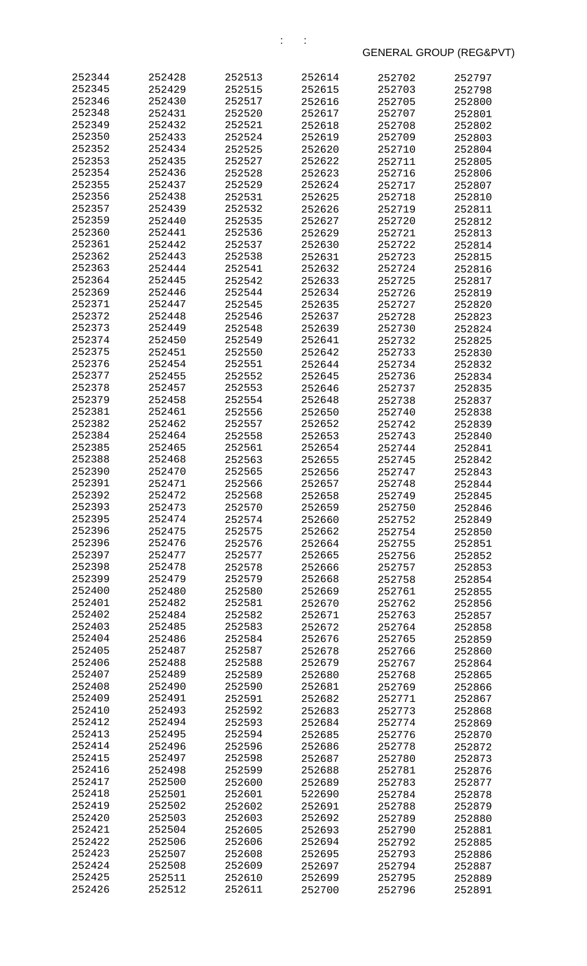| 252344           | 252428           | 252513           | 252614           | 252702           | 252797           |
|------------------|------------------|------------------|------------------|------------------|------------------|
| 252345           | 252429           | 252515           | 252615           | 252703           | 252798           |
| 252346           | 252430           | 252517           | 252616           | 252705           | 252800           |
| 252348           | 252431           | 252520           | 252617           | 252707           | 252801           |
| 252349           | 252432           | 252521           | 252618           | 252708           | 252802           |
| 252350<br>252352 | 252433<br>252434 | 252524           | 252619           | 252709           | 252803           |
| 252353           | 252435           | 252525<br>252527 | 252620<br>252622 | 252710<br>252711 | 252804<br>252805 |
| 252354           | 252436           | 252528           | 252623           | 252716           | 252806           |
| 252355           | 252437           | 252529           | 252624           | 252717           | 252807           |
| 252356           | 252438           | 252531           | 252625           | 252718           | 252810           |
| 252357           | 252439           | 252532           | 252626           | 252719           | 252811           |
| 252359           | 252440           | 252535           | 252627           | 252720           | 252812           |
| 252360           | 252441           | 252536           | 252629           | 252721           | 252813           |
| 252361           | 252442           | 252537           | 252630           | 252722           | 252814           |
| 252362           | 252443           | 252538           | 252631           | 252723           | 252815           |
| 252363<br>252364 | 252444           | 252541           | 252632           | 252724           | 252816           |
| 252369           | 252445<br>252446 | 252542<br>252544 | 252633<br>252634 | 252725<br>252726 | 252817<br>252819 |
| 252371           | 252447           | 252545           | 252635           | 252727           | 252820           |
| 252372           | 252448           | 252546           | 252637           | 252728           | 252823           |
| 252373           | 252449           | 252548           | 252639           | 252730           | 252824           |
| 252374           | 252450           | 252549           | 252641           | 252732           | 252825           |
| 252375           | 252451           | 252550           | 252642           | 252733           | 252830           |
| 252376           | 252454           | 252551           | 252644           | 252734           | 252832           |
| 252377           | 252455           | 252552           | 252645           | 252736           | 252834           |
| 252378           | 252457           | 252553           | 252646           | 252737           | 252835           |
| 252379           | 252458           | 252554           | 252648           | 252738           | 252837           |
| 252381           | 252461           | 252556           | 252650           | 252740           | 252838           |
| 252382<br>252384 | 252462<br>252464 | 252557<br>252558 | 252652<br>252653 | 252742<br>252743 | 252839           |
| 252385           | 252465           | 252561           | 252654           | 252744           | 252840<br>252841 |
| 252388           | 252468           | 252563           | 252655           | 252745           | 252842           |
| 252390           | 252470           | 252565           | 252656           | 252747           | 252843           |
| 252391           | 252471           | 252566           | 252657           | 252748           | 252844           |
| 252392           | 252472           | 252568           | 252658           | 252749           | 252845           |
| 252393           | 252473           | 252570           | 252659           | 252750           | 252846           |
| 252395           | 252474           | 252574           | 252660           | 252752           | 252849           |
| 252396           | 252475           | 252575           | 252662           | 252754           | 252850           |
| 252396           | 252476           | 252576           | 252664           | 252755           | 252851           |
| 252397<br>252398 | 252477<br>252478 | 252577<br>252578 | 252665<br>252666 | 252756<br>252757 | 252852           |
| 252399           | 252479           | 252579           | 252668           | 252758           | 252853<br>252854 |
| 252400           | 252480           | 252580           | 252669           | 252761           | 252855           |
| 252401           | 252482           | 252581           | 252670           | 252762           | 252856           |
| 252402           | 252484           | 252582           | 252671           | 252763           | 252857           |
| 252403           | 252485           | 252583           | 252672           | 252764           | 252858           |
| 252404           | 252486           | 252584           | 252676           | 252765           | 252859           |
| 252405           | 252487           | 252587           | 252678           | 252766           | 252860           |
| 252406           | 252488           | 252588           | 252679           | 252767           | 252864           |
| 252407           | 252489           | 252589           | 252680           | 252768           | 252865           |
| 252408<br>252409 | 252490<br>252491 | 252590<br>252591 | 252681<br>252682 | 252769           | 252866           |
| 252410           | 252493           | 252592           | 252683           | 252771<br>252773 | 252867<br>252868 |
| 252412           | 252494           | 252593           | 252684           | 252774           | 252869           |
| 252413           | 252495           | 252594           | 252685           | 252776           | 252870           |
| 252414           | 252496           | 252596           | 252686           | 252778           | 252872           |
| 252415           | 252497           | 252598           | 252687           | 252780           | 252873           |
| 252416           | 252498           | 252599           | 252688           | 252781           | 252876           |
| 252417           | 252500           | 252600           | 252689           | 252783           | 252877           |
| 252418           | 252501           | 252601           | 522690           | 252784           | 252878           |
| 252419           | 252502           | 252602           | 252691           | 252788           | 252879           |
| 252420           | 252503           | 252603           | 252692           | 252789           | 252880           |
| 252421<br>252422 | 252504<br>252506 | 252605<br>252606 | 252693<br>252694 | 252790<br>252792 | 252881<br>252885 |
| 252423           | 252507           | 252608           | 252695           | 252793           | 252886           |
| 252424           | 252508           | 252609           | 252697           | 252794           | 252887           |
| 252425           | 252511           | 252610           | 252699           | 252795           | 252889           |
| 252426           | 252512           | 252611           | 252700           | 252796           | 252891           |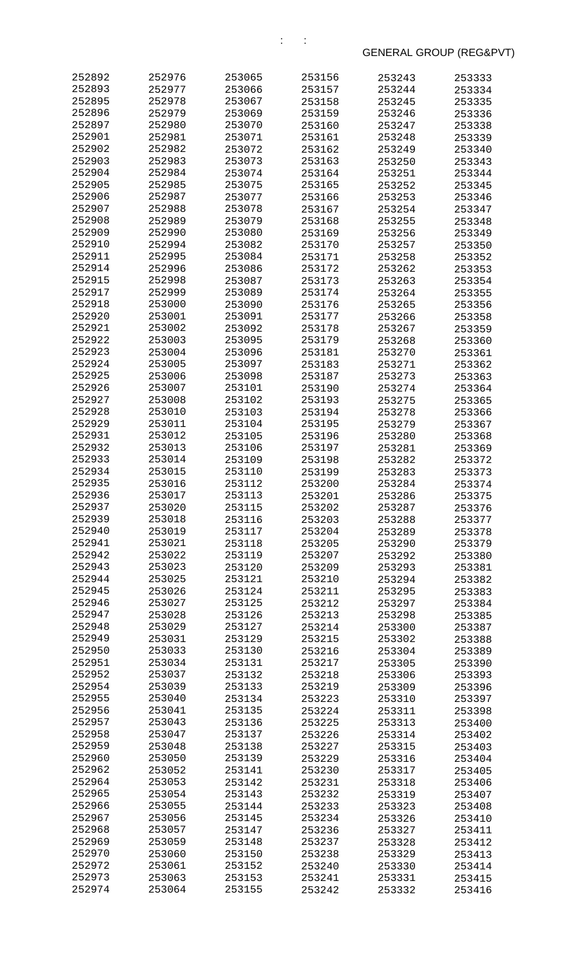| 252892           | 252976           | 253065           | 253156           | 253243           | 253333           |
|------------------|------------------|------------------|------------------|------------------|------------------|
| 252893           | 252977           | 253066           | 253157           | 253244           | 253334           |
| 252895           | 252978           | 253067           | 253158           | 253245           | 253335           |
| 252896           | 252979           | 253069           | 253159           | 253246           | 253336           |
| 252897           | 252980           | 253070           | 253160           | 253247           | 253338           |
| 252901           | 252981           | 253071           | 253161           | 253248           | 253339           |
| 252902           | 252982           | 253072           | 253162           | 253249           | 253340           |
| 252903           | 252983           | 253073           | 253163           | 253250           | 253343           |
| 252904           | 252984           | 253074           | 253164           | 253251           | 253344           |
| 252905           | 252985           | 253075           | 253165           | 253252           | 253345           |
| 252906           | 252987           | 253077           | 253166           | 253253           | 253346           |
| 252907           | 252988           | 253078           | 253167           | 253254           | 253347           |
| 252908           | 252989           | 253079           | 253168           | 253255           | 253348           |
| 252909           | 252990           | 253080           | 253169           | 253256           | 253349           |
| 252910           | 252994           | 253082           | 253170           | 253257           | 253350           |
| 252911           | 252995           | 253084           | 253171           | 253258           | 253352           |
| 252914           | 252996           | 253086           | 253172           | 253262           | 253353           |
| 252915           | 252998           | 253087           | 253173           | 253263           | 253354           |
| 252917           | 252999           | 253089           | 253174           | 253264           | 253355           |
| 252918           | 253000           | 253090           | 253176           | 253265           | 253356           |
| 252920           | 253001           | 253091           | 253177           | 253266           | 253358           |
| 252921           | 253002           | 253092           | 253178           | 253267           | 253359           |
| 252922           | 253003           | 253095           | 253179           | 253268           | 253360           |
| 252923           | 253004           | 253096           | 253181           | 253270           | 253361           |
| 252924           | 253005           | 253097           | 253183           | 253271           | 253362           |
| 252925           | 253006           | 253098           | 253187           | 253273           | 253363           |
| 252926           | 253007           | 253101           | 253190           | 253274           | 253364           |
| 252927           | 253008           | 253102           | 253193           | 253275           | 253365           |
| 252928<br>252929 | 253010           | 253103           | 253194           | 253278           | 253366           |
| 252931           | 253011<br>253012 | 253104<br>253105 | 253195           | 253279           | 253367           |
| 252932           | 253013           | 253106           | 253196<br>253197 | 253280           | 253368           |
| 252933           | 253014           | 253109           | 253198           | 253281           | 253369           |
| 252934           | 253015           | 253110           | 253199           | 253282<br>253283 | 253372           |
| 252935           | 253016           | 253112           | 253200           | 253284           | 253373<br>253374 |
| 252936           | 253017           | 253113           | 253201           | 253286           | 253375           |
| 252937           | 253020           | 253115           | 253202           | 253287           | 253376           |
| 252939           | 253018           | 253116           | 253203           | 253288           | 253377           |
| 252940           | 253019           | 253117           | 253204           | 253289           | 253378           |
| 252941           | 253021           | 253118           | 253205           | 253290           | 253379           |
| 252942           | 253022           | 253119           | 253207           | 253292           | 253380           |
| 252943           | 253023           | 253120           | 253209           | 253293           | 253381           |
| 252944           | 253025           | 253121           | 253210           | 253294           | 253382           |
| 252945           | 253026           | 253124           | 253211           | 253295           | 253383           |
| 252946           | 253027           | 253125           | 253212           | 253297           | 253384           |
| 252947           | 253028           | 253126           | 253213           | 253298           | 253385           |
| 252948           | 253029           | 253127           | 253214           | 253300           | 253387           |
| 252949           | 253031           | 253129           | 253215           | 253302           | 253388           |
| 252950           | 253033           | 253130           | 253216           | 253304           | 253389           |
| 252951           | 253034           | 253131           | 253217           | 253305           | 253390           |
| 252952           | 253037           | 253132           | 253218           | 253306           | 253393           |
| 252954           | 253039           | 253133           | 253219           | 253309           | 253396           |
| 252955           | 253040           | 253134           | 253223           | 253310           | 253397           |
| 252956           | 253041           | 253135           | 253224           | 253311           | 253398           |
| 252957           | 253043           | 253136           | 253225           | 253313           | 253400           |
| 252958           | 253047           | 253137           | 253226           | 253314           | 253402           |
| 252959           | 253048           | 253138           | 253227           | 253315           | 253403           |
| 252960           | 253050           | 253139           | 253229           | 253316           | 253404           |
| 252962           | 253052           | 253141           | 253230           | 253317           | 253405           |
| 252964           | 253053           | 253142           | 253231           | 253318           | 253406           |
| 252965           | 253054           | 253143           | 253232           | 253319           | 253407           |
| 252966           | 253055           | 253144           | 253233           | 253323           | 253408           |
| 252967           | 253056           | 253145           | 253234           | 253326           | 253410           |
| 252968           | 253057           | 253147           | 253236           | 253327           | 253411           |
| 252969           | 253059           | 253148           | 253237           | 253328           | 253412           |
| 252970           | 253060           | 253150           | 253238           | 253329           | 253413           |
| 252972           | 253061           | 253152           | 253240           | 253330           | 253414           |
| 252973           | 253063           | 253153           | 253241           | 253331           | 253415           |
| 252974           | 253064           | 253155           | 253242           | 253332           | 253416           |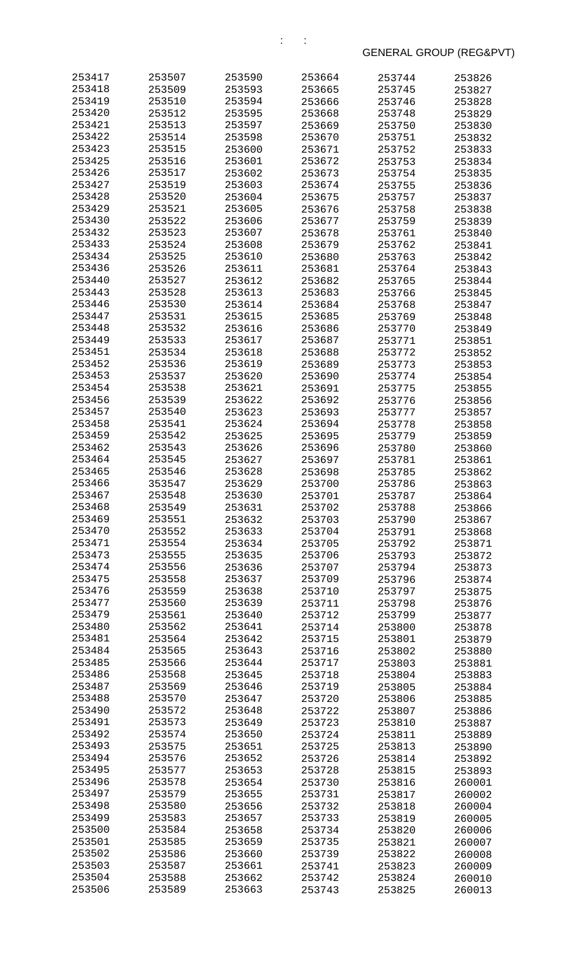| 253417           | 253507           | 253590           | 253664           | 253744           | 253826           |
|------------------|------------------|------------------|------------------|------------------|------------------|
| 253418           | 253509           | 253593           | 253665           | 253745           | 253827           |
| 253419           | 253510           | 253594           | 253666           | 253746           | 253828           |
| 253420           | 253512           | 253595           | 253668           | 253748           | 253829           |
| 253421           | 253513           | 253597           | 253669           | 253750           | 253830           |
| 253422           | 253514           | 253598           | 253670           | 253751           | 253832           |
| 253423           | 253515           | 253600           | 253671           | 253752           | 253833           |
| 253425           | 253516           | 253601           | 253672           | 253753           | 253834           |
| 253426           | 253517           | 253602           | 253673           | 253754           | 253835           |
| 253427<br>253428 | 253519<br>253520 | 253603<br>253604 | 253674<br>253675 | 253755           | 253836           |
| 253429           | 253521           | 253605           | 253676           | 253757<br>253758 | 253837<br>253838 |
| 253430           | 253522           | 253606           | 253677           | 253759           | 253839           |
| 253432           | 253523           | 253607           | 253678           | 253761           | 253840           |
| 253433           | 253524           | 253608           | 253679           | 253762           | 253841           |
| 253434           | 253525           | 253610           | 253680           | 253763           | 253842           |
| 253436           | 253526           | 253611           | 253681           | 253764           | 253843           |
| 253440           | 253527           | 253612           | 253682           | 253765           | 253844           |
| 253443           | 253528           | 253613           | 253683           | 253766           | 253845           |
| 253446           | 253530           | 253614           | 253684           | 253768           | 253847           |
| 253447           | 253531           | 253615           | 253685           | 253769           | 253848           |
| 253448           | 253532           | 253616           | 253686           | 253770           | 253849           |
| 253449           | 253533           | 253617           | 253687           | 253771           | 253851           |
| 253451           | 253534           | 253618           | 253688           | 253772           | 253852           |
| 253452           | 253536           | 253619           | 253689           | 253773           | 253853           |
| 253453<br>253454 | 253537<br>253538 | 253620<br>253621 | 253690<br>253691 | 253774<br>253775 | 253854           |
| 253456           | 253539           | 253622           | 253692           | 253776           | 253855<br>253856 |
| 253457           | 253540           | 253623           | 253693           | 253777           | 253857           |
| 253458           | 253541           | 253624           | 253694           | 253778           | 253858           |
| 253459           | 253542           | 253625           | 253695           | 253779           | 253859           |
| 253462           | 253543           | 253626           | 253696           | 253780           | 253860           |
| 253464           | 253545           | 253627           | 253697           | 253781           | 253861           |
| 253465           | 253546           | 253628           | 253698           | 253785           | 253862           |
| 253466           | 353547           | 253629           | 253700           | 253786           | 253863           |
| 253467           | 253548           | 253630           | 253701           | 253787           | 253864           |
| 253468           | 253549           | 253631           | 253702           | 253788           | 253866           |
| 253469           | 253551           | 253632           | 253703           | 253790           | 253867           |
| 253470           | 253552           | 253633           | 253704           | 253791           | 253868           |
| 253471<br>253473 | 253554<br>253555 | 253634<br>253635 | 253705           | 253792<br>253793 | 253871           |
| 253474           | 253556           | 253636           | 253706<br>253707 | 253794           | 253872<br>253873 |
| 253475           | 253558           | 253637           | 253709           | 253796           | 253874           |
| 253476           | 253559           | 253638           | 253710           | 253797           | 253875           |
| 253477           | 253560           | 253639           | 253711           | 253798           | 253876           |
| 253479           | 253561           | 253640           | 253712           | 253799           | 253877           |
| 253480           | 253562           | 253641           | 253714           | 253800           | 253878           |
| 253481           | 253564           | 253642           | 253715           | 253801           | 253879           |
| 253484           | 253565           | 253643           | 253716           | 253802           | 253880           |
| 253485           | 253566           | 253644           | 253717           | 253803           | 253881           |
| 253486           | 253568           | 253645           | 253718           | 253804           | 253883           |
| 253487           | 253569           | 253646           | 253719           | 253805           | 253884           |
| 253488<br>253490 | 253570<br>253572 | 253647           | 253720           | 253806           | 253885           |
| 253491           | 253573           | 253648<br>253649 | 253722<br>253723 | 253807<br>253810 | 253886<br>253887 |
| 253492           | 253574           | 253650           | 253724           | 253811           | 253889           |
| 253493           | 253575           | 253651           | 253725           | 253813           | 253890           |
| 253494           | 253576           | 253652           | 253726           | 253814           | 253892           |
| 253495           | 253577           | 253653           | 253728           | 253815           | 253893           |
| 253496           | 253578           | 253654           | 253730           | 253816           | 260001           |
| 253497           | 253579           | 253655           | 253731           | 253817           | 260002           |
| 253498           | 253580           | 253656           | 253732           | 253818           | 260004           |
| 253499           | 253583           | 253657           | 253733           | 253819           | 260005           |
| 253500           | 253584           | 253658           | 253734           | 253820           | 260006           |
| 253501           | 253585           | 253659           | 253735           | 253821           | 260007           |
| 253502           | 253586           | 253660           | 253739           | 253822           | 260008           |
| 253503<br>253504 | 253587           | 253661           | 253741           | 253823           | 260009           |
| 253506           | 253588<br>253589 | 253662<br>253663 | 253742<br>253743 | 253824<br>253825 | 260010<br>260013 |
|                  |                  |                  |                  |                  |                  |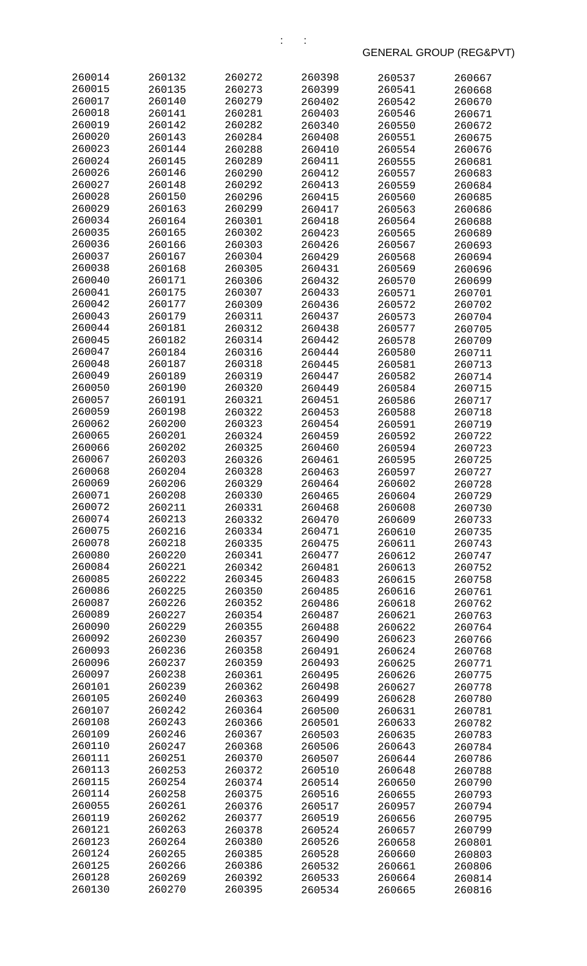| 260014           | 260132           | 260272           | 260398           | 260537           | 260667           |
|------------------|------------------|------------------|------------------|------------------|------------------|
| 260015           | 260135           | 260273           | 260399           | 260541           | 260668           |
| 260017           | 260140           | 260279           | 260402           | 260542           | 260670           |
| 260018           | 260141           | 260281           | 260403           | 260546           | 260671           |
| 260019           | 260142           | 260282           | 260340           | 260550           | 260672           |
| 260020           | 260143           | 260284           | 260408           | 260551           | 260675           |
| 260023           | 260144           | 260288           | 260410           | 260554           | 260676           |
| 260024           | 260145           | 260289           | 260411           | 260555           | 260681           |
| 260026<br>260027 | 260146           | 260290           | 260412           | 260557           | 260683           |
| 260028           | 260148<br>260150 | 260292           | 260413<br>260415 | 260559           | 260684           |
| 260029           | 260163           | 260296<br>260299 | 260417           | 260560<br>260563 | 260685<br>260686 |
| 260034           | 260164           | 260301           | 260418           | 260564           | 260688           |
| 260035           | 260165           | 260302           | 260423           | 260565           | 260689           |
| 260036           | 260166           | 260303           | 260426           | 260567           | 260693           |
| 260037           | 260167           | 260304           | 260429           | 260568           | 260694           |
| 260038           | 260168           | 260305           | 260431           | 260569           | 260696           |
| 260040           | 260171           | 260306           | 260432           | 260570           | 260699           |
| 260041           | 260175           | 260307           | 260433           | 260571           | 260701           |
| 260042           | 260177           | 260309           | 260436           | 260572           | 260702           |
| 260043           | 260179           | 260311           | 260437           | 260573           | 260704           |
| 260044           | 260181           | 260312           | 260438           | 260577           | 260705           |
| 260045           | 260182           | 260314           | 260442           | 260578           | 260709           |
| 260047           | 260184           | 260316           | 260444           | 260580           | 260711           |
| 260048           | 260187           | 260318           | 260445           | 260581           | 260713           |
| 260049           | 260189           | 260319           | 260447           | 260582           | 260714           |
| 260050           | 260190           | 260320           | 260449           | 260584           | 260715           |
| 260057<br>260059 | 260191           | 260321           | 260451           | 260586           | 260717           |
| 260062           | 260198<br>260200 | 260322<br>260323 | 260453<br>260454 | 260588<br>260591 | 260718           |
| 260065           | 260201           | 260324           | 260459           | 260592           | 260719<br>260722 |
| 260066           | 260202           | 260325           | 260460           | 260594           | 260723           |
| 260067           | 260203           | 260326           | 260461           | 260595           | 260725           |
| 260068           | 260204           | 260328           | 260463           | 260597           | 260727           |
| 260069           | 260206           | 260329           | 260464           | 260602           | 260728           |
| 260071           | 260208           | 260330           | 260465           | 260604           | 260729           |
| 260072           | 260211           | 260331           | 260468           | 260608           | 260730           |
| 260074           | 260213           | 260332           | 260470           | 260609           | 260733           |
| 260075           | 260216           | 260334           | 260471           | 260610           | 260735           |
| 260078           | 260218           | 260335           | 260475           | 260611           | 260743           |
| 260080           | 260220           | 260341           | 260477           | 260612           | 260747           |
| 260084           | 260221           | 260342           | 260481           | 260613           | 260752           |
| 260085           | 260222           | 260345           | 260483           | 260615           | 260758           |
| 260086           | 260225           | 260350           | 260485           | 260616           | 260761           |
| 260087<br>260089 | 260226<br>260227 | 260352<br>260354 | 260486<br>260487 | 260618<br>260621 | 260762<br>260763 |
| 260090           | 260229           | 260355           | 260488           | 260622           | 260764           |
| 260092           | 260230           | 260357           | 260490           | 260623           | 260766           |
| 260093           | 260236           | 260358           | 260491           | 260624           | 260768           |
| 260096           | 260237           | 260359           | 260493           | 260625           | 260771           |
| 260097           | 260238           | 260361           | 260495           | 260626           | 260775           |
| 260101           | 260239           | 260362           | 260498           | 260627           | 260778           |
| 260105           | 260240           | 260363           | 260499           | 260628           | 260780           |
| 260107           | 260242           | 260364           | 260500           | 260631           | 260781           |
| 260108           | 260243           | 260366           | 260501           | 260633           | 260782           |
| 260109           | 260246           | 260367           | 260503           | 260635           | 260783           |
| 260110           | 260247           | 260368           | 260506           | 260643           | 260784           |
| 260111           | 260251           | 260370           | 260507           | 260644           | 260786           |
| 260113           | 260253           | 260372           | 260510           | 260648           | 260788           |
| 260115           | 260254           | 260374           | 260514           | 260650           | 260790           |
| 260114<br>260055 | 260258<br>260261 | 260375           | 260516           | 260655           | 260793           |
| 260119           | 260262           | 260376<br>260377 | 260517<br>260519 | 260957<br>260656 | 260794<br>260795 |
| 260121           | 260263           | 260378           | 260524           | 260657           | 260799           |
| 260123           | 260264           | 260380           | 260526           | 260658           | 260801           |
| 260124           | 260265           | 260385           | 260528           | 260660           | 260803           |
| 260125           | 260266           | 260386           | 260532           | 260661           | 260806           |
| 260128           | 260269           | 260392           | 260533           | 260664           | 260814           |
| 260130           | 260270           | 260395           | 260534           | 260665           | 260816           |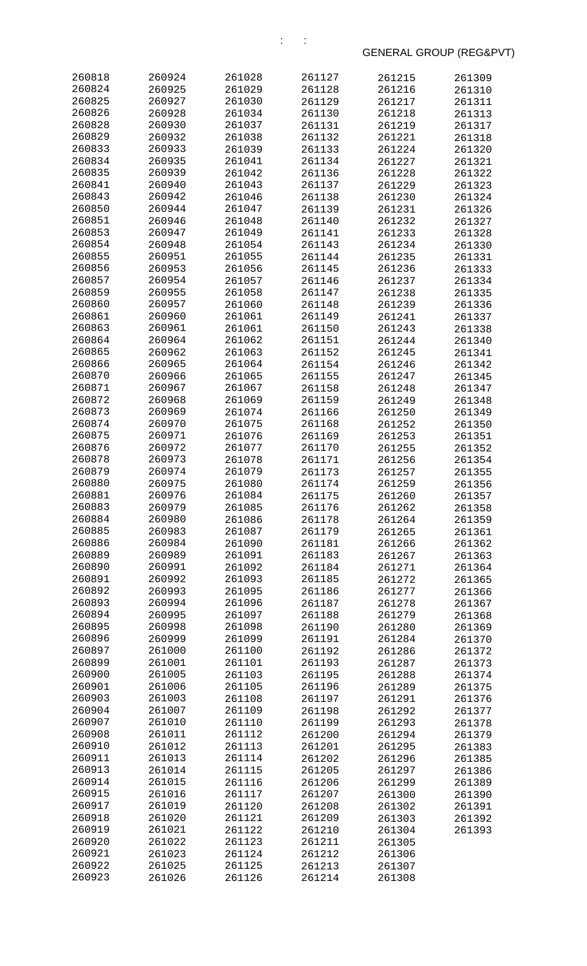| 260818           | 260924           | 261028           | 261127           | 261215           | 261309           |
|------------------|------------------|------------------|------------------|------------------|------------------|
| 260824           | 260925           | 261029           | 261128           | 261216           | 261310           |
| 260825           | 260927           | 261030           | 261129           | 261217           | 261311           |
| 260826           | 260928           | 261034           | 261130           | 261218           | 261313           |
| 260828           | 260930           | 261037           | 261131           | 261219           | 261317           |
| 260829           | 260932           | 261038           | 261132           | 261221           | 261318           |
| 260833           | 260933           | 261039           | 261133           | 261224           | 261320           |
| 260834           | 260935           | 261041           | 261134           | 261227           | 261321           |
| 260835           | 260939           | 261042           | 261136           | 261228           | 261322           |
| 260841           | 260940           | 261043           | 261137           | 261229           | 261323           |
| 260843           | 260942           | 261046           | 261138           | 261230           | 261324           |
| 260850           | 260944           | 261047           | 261139           | 261231           | 261326           |
| 260851           | 260946           | 261048           | 261140           | 261232           | 261327           |
| 260853           | 260947           | 261049           | 261141           | 261233           | 261328           |
| 260854           | 260948           | 261054           | 261143           | 261234           | 261330           |
| 260855           | 260951           | 261055           | 261144           | 261235           | 261331           |
| 260856           | 260953           | 261056           | 261145           | 261236           | 261333           |
| 260857           | 260954           | 261057           | 261146           | 261237           | 261334           |
| 260859           | 260955           | 261058           | 261147           | 261238           | 261335           |
| 260860           | 260957           | 261060           | 261148           | 261239           | 261336           |
| 260861           | 260960           | 261061           | 261149           | 261241           | 261337           |
| 260863           | 260961           | 261061           | 261150           | 261243           | 261338           |
| 260864           | 260964           | 261062           | 261151           | 261244           | 261340           |
| 260865           | 260962           | 261063           | 261152           | 261245           | 261341           |
| 260866           | 260965           | 261064           | 261154           | 261246           | 261342           |
| 260870           | 260966           | 261065           | 261155           | 261247           | 261345           |
| 260871           | 260967           | 261067           | 261158           | 261248           | 261347           |
| 260872           | 260968           | 261069           | 261159           | 261249           | 261348           |
| 260873           | 260969           | 261074           | 261166           | 261250           | 261349           |
| 260874           | 260970           | 261075           | 261168           | 261252           | 261350           |
| 260875           | 260971           | 261076           | 261169           | 261253           | 261351           |
| 260876           | 260972           | 261077           | 261170           | 261255           | 261352           |
| 260878           | 260973           | 261078           | 261171           | 261256           | 261354           |
| 260879           | 260974           | 261079           | 261173           | 261257           | 261355           |
| 260880           | 260975           | 261080           | 261174           | 261259           | 261356           |
| 260881           | 260976           | 261084           | 261175           | 261260           | 261357           |
| 260883<br>260884 | 260979           | 261085<br>261086 | 261176<br>261178 | 261262           | 261358           |
| 260885           | 260980<br>260983 | 261087           | 261179           | 261264<br>261265 | 261359           |
| 260886           | 260984           | 261090           | 261181           | 261266           | 261361<br>261362 |
| 260889           | 260989           | 261091           | 261183           | 261267           | 261363           |
| 260890           | 260991           | 261092           | 261184           | 261271           | 261364           |
| 260891           | 260992           | 261093           | 261185           | 261272           | 261365           |
| 260892           | 260993           | 261095           | 261186           | 261277           | 261366           |
| 260893           | 260994           | 261096           | 261187           | 261278           | 261367           |
| 260894           | 260995           | 261097           | 261188           | 261279           | 261368           |
| 260895           | 260998           | 261098           | 261190           | 261280           | 261369           |
| 260896           | 260999           | 261099           | 261191           | 261284           | 261370           |
| 260897           | 261000           | 261100           | 261192           | 261286           | 261372           |
| 260899           | 261001           | 261101           | 261193           | 261287           | 261373           |
| 260900           | 261005           | 261103           | 261195           | 261288           | 261374           |
| 260901           | 261006           | 261105           | 261196           | 261289           | 261375           |
| 260903           | 261003           | 261108           | 261197           | 261291           | 261376           |
| 260904           | 261007           | 261109           | 261198           | 261292           | 261377           |
| 260907           | 261010           | 261110           | 261199           | 261293           | 261378           |
| 260908           | 261011           | 261112           | 261200           | 261294           | 261379           |
| 260910           | 261012           | 261113           | 261201           | 261295           | 261383           |
| 260911           | 261013           | 261114           | 261202           | 261296           | 261385           |
| 260913           | 261014           | 261115           | 261205           | 261297           | 261386           |
| 260914           | 261015           | 261116           | 261206           | 261299           | 261389           |
| 260915           | 261016           | 261117           | 261207           | 261300           | 261390           |
| 260917           | 261019           | 261120           | 261208           | 261302           | 261391           |
| 260918           | 261020           | 261121           | 261209           | 261303           | 261392           |
| 260919           | 261021           | 261122           | 261210           | 261304           | 261393           |
| 260920           | 261022           | 261123           | 261211           | 261305           |                  |
| 260921           | 261023           | 261124           | 261212           | 261306           |                  |
| 260922<br>260923 | 261025           | 261125           | 261213           | 261307           |                  |
|                  | 261026           | 261126           | 261214           | 261308           |                  |